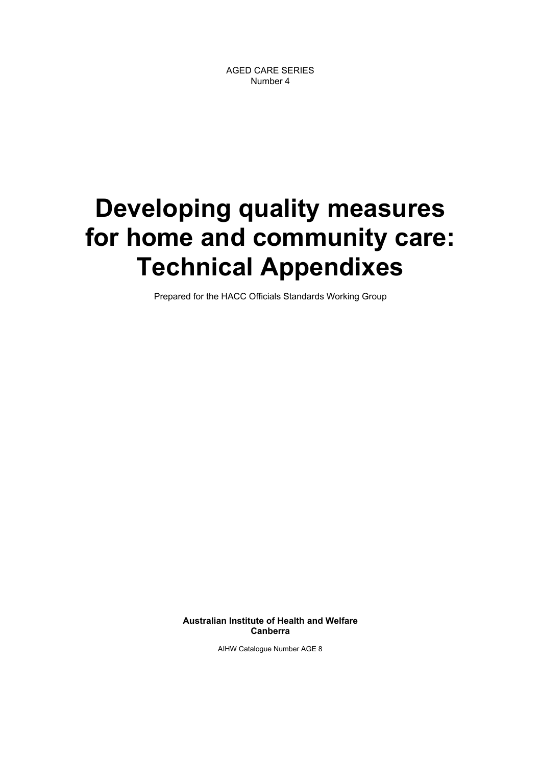# **Developing quality measures for home and community care: Technical Appendixes**

Prepared for the HACC Officials Standards Working Group

**Australian Institute of Health and Welfare Canberra**

AIHW Catalogue Number AGE 8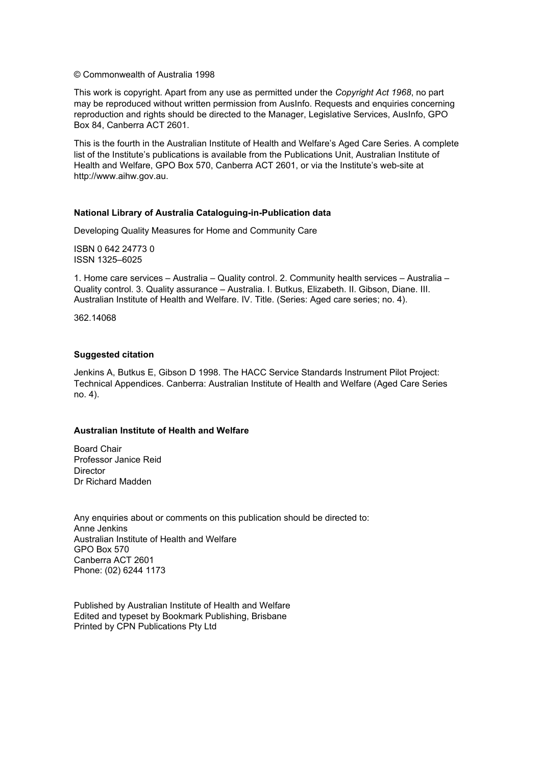© Commonwealth of Australia 1998

This work is copyright. Apart from any use as permitted under the *Copyright Act 1968*, no part may be reproduced without written permission from AusInfo. Requests and enquiries concerning reproduction and rights should be directed to the Manager, Legislative Services, AusInfo, GPO Box 84, Canberra ACT 2601.

This is the fourth in the Australian Institute of Health and Welfare's Aged Care Series. A complete list of the Institute's publications is available from the Publications Unit, Australian Institute of Health and Welfare, GPO Box 570, Canberra ACT 2601, or via the Institute's web-site at http://www.aihw.gov.au.

### **National Library of Australia Cataloguing-in-Publication data**

Developing Quality Measures for Home and Community Care

ISBN 0 642 24773 0 ISSN 1325–6025

1. Home care services – Australia – Quality control. 2. Community health services – Australia – Quality control. 3. Quality assurance – Australia. I. Butkus, Elizabeth. II. Gibson, Diane. III. Australian Institute of Health and Welfare. IV. Title. (Series: Aged care series; no. 4).

362.14068

### **Suggested citation**

Jenkins A, Butkus E, Gibson D 1998. The HACC Service Standards Instrument Pilot Project: Technical Appendices. Canberra: Australian Institute of Health and Welfare (Aged Care Series no. 4).

#### **Australian Institute of Health and Welfare**

Board Chair Professor Janice Reid **Director** Dr Richard Madden

Any enquiries about or comments on this publication should be directed to: Anne Jenkins Australian Institute of Health and Welfare GPO Box 570 Canberra ACT 2601 Phone: (02) 6244 1173

Published by Australian Institute of Health and Welfare Edited and typeset by Bookmark Publishing, Brisbane Printed by CPN Publications Pty Ltd